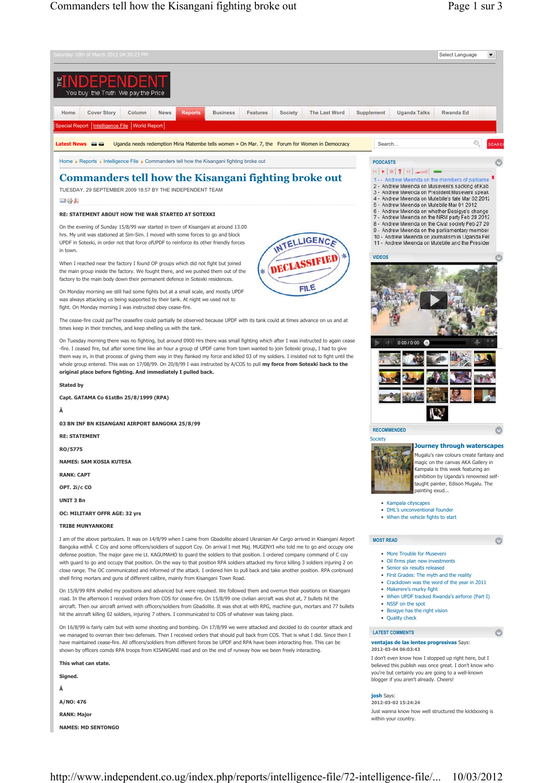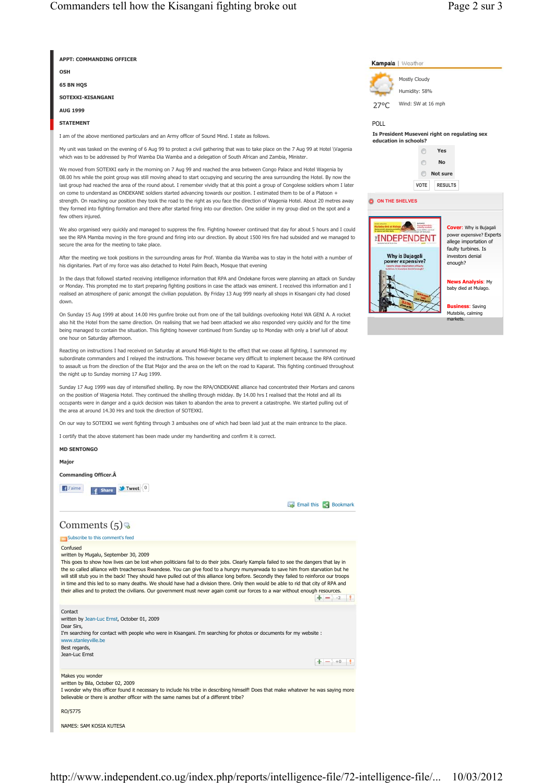

**Cover**: Why is Bujagali power expensive? Experts allege importation of faulty turbines. Is investors denial enough?

**Yes No**

> **News Analysis**: My baby died at Mulago.

**Business**: Saving Mutebile, calming markets.

http://www.independent.co.ug/index.php/reports/intelligence-file/72-intelligence-file/... 10/03/2012